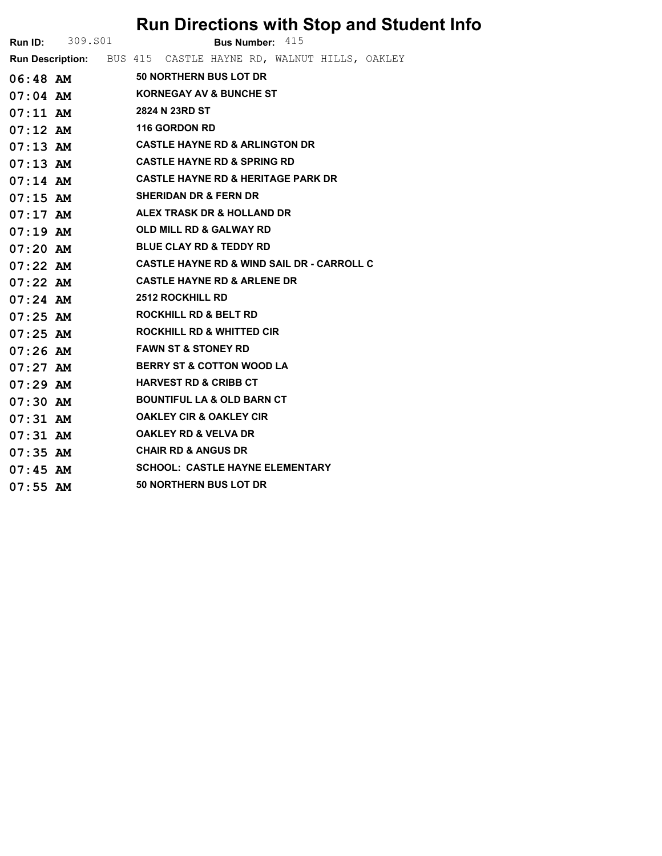## Run Directions with Stop and Student Info

|            | <b>Run ID:</b> 309.801 |                      | Bus Number: 415                                                |  |  |  |  |  |  |  |
|------------|------------------------|----------------------|----------------------------------------------------------------|--|--|--|--|--|--|--|
|            |                        |                      | Run Description: BUS 415 CASTLE HAYNE RD, WALNUT HILLS, OAKLEY |  |  |  |  |  |  |  |
|            | $06:48$ AM             |                      | 50 NORTHERN BUS LOT DR                                         |  |  |  |  |  |  |  |
| $07:04$ AM |                        |                      | <b>KORNEGAY AV &amp; BUNCHE ST</b>                             |  |  |  |  |  |  |  |
| 07:11 AM   |                        |                      | 2824 N 23RD ST                                                 |  |  |  |  |  |  |  |
| $07:12$ AM |                        | <b>116 GORDON RD</b> |                                                                |  |  |  |  |  |  |  |
| $07:13$ AM |                        |                      | <b>CASTLE HAYNE RD &amp; ARLINGTON DR</b>                      |  |  |  |  |  |  |  |
| $07:13$ AM |                        |                      | <b>CASTLE HAYNE RD &amp; SPRING RD</b>                         |  |  |  |  |  |  |  |
| $07:14$ AM |                        |                      | <b>CASTLE HAYNE RD &amp; HERITAGE PARK DR</b>                  |  |  |  |  |  |  |  |
| $07:15$ AM |                        |                      | <b>SHERIDAN DR &amp; FERN DR</b>                               |  |  |  |  |  |  |  |
|            | $07:17$ AM             |                      | ALEX TRASK DR & HOLLAND DR                                     |  |  |  |  |  |  |  |
| $07:19$ AM |                        |                      | <b>OLD MILL RD &amp; GALWAY RD</b>                             |  |  |  |  |  |  |  |
| 07:20 AM   |                        |                      | <b>BLUE CLAY RD &amp; TEDDY RD</b>                             |  |  |  |  |  |  |  |
| $07:22$ AM |                        |                      | <b>CASTLE HAYNE RD &amp; WIND SAIL DR - CARROLL C</b>          |  |  |  |  |  |  |  |
| $07:22$ AM |                        |                      | <b>CASTLE HAYNE RD &amp; ARLENE DR</b>                         |  |  |  |  |  |  |  |
| $07:24$ AM |                        |                      | <b>2512 ROCKHILL RD</b>                                        |  |  |  |  |  |  |  |
| $07:25$ AM |                        |                      | <b>ROCKHILL RD &amp; BELT RD</b>                               |  |  |  |  |  |  |  |
| 07:25 AM   |                        |                      | ROCKHILL RD & WHITTED CIR                                      |  |  |  |  |  |  |  |
| $07:26$ AM |                        |                      | <b>FAWN ST &amp; STONEY RD</b>                                 |  |  |  |  |  |  |  |
| $07:27$ AM |                        |                      | <b>BERRY ST &amp; COTTON WOOD LA</b>                           |  |  |  |  |  |  |  |
| $07:29$ AM |                        |                      | <b>HARVEST RD &amp; CRIBB CT</b>                               |  |  |  |  |  |  |  |
| $07:30$ AM |                        |                      | <b>BOUNTIFUL LA &amp; OLD BARN CT</b>                          |  |  |  |  |  |  |  |
| $07:31$ AM |                        |                      | <b>OAKLEY CIR &amp; OAKLEY CIR</b>                             |  |  |  |  |  |  |  |
| 07:31 AM   |                        |                      | <b>OAKLEY RD &amp; VELVA DR</b>                                |  |  |  |  |  |  |  |
| $07:35$ AM |                        |                      | <b>CHAIR RD &amp; ANGUS DR</b>                                 |  |  |  |  |  |  |  |
| $07:45$ AM |                        |                      | <b>SCHOOL: CASTLE HAYNE ELEMENTARY</b>                         |  |  |  |  |  |  |  |
| $07:55$ AM |                        |                      | 50 NORTHERN BUS LOT DR                                         |  |  |  |  |  |  |  |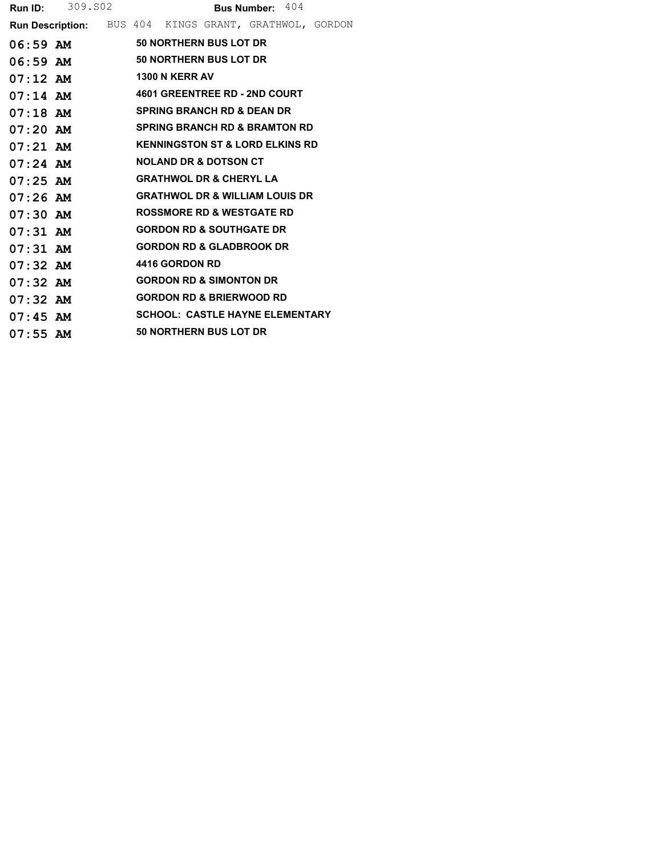|            | <b>Run ID:</b> 309.802                                 |  |                |                                            | <b>Bus Number: 404</b> |  |
|------------|--------------------------------------------------------|--|----------------|--------------------------------------------|------------------------|--|
|            | Run Description: BUS 404 KINGS GRANT, GRATHWOL, GORDON |  |                |                                            |                        |  |
|            | 06:59 AM 50 NORTHERN BUS LOT DR                        |  |                |                                            |                        |  |
|            | 06:59 AM 50 NORTHERN BUS LOT DR                        |  |                |                                            |                        |  |
|            | 07:12 AM 1300 N KERR AV                                |  |                |                                            |                        |  |
| $07:14$ AM |                                                        |  |                | <b>4601 GREENTREE RD - 2ND COURT</b>       |                        |  |
| $07:18$ AM |                                                        |  |                | <b>SPRING BRANCH RD &amp; DEAN DR</b>      |                        |  |
| $07:20$ AM |                                                        |  |                | <b>SPRING BRANCH RD &amp; BRAMTON RD</b>   |                        |  |
| $07:21$ AM |                                                        |  |                | <b>KENNINGSTON ST &amp; LORD ELKINS RD</b> |                        |  |
| $07:24$ AM |                                                        |  |                | <b>NOLAND DR &amp; DOTSON CT</b>           |                        |  |
| $07:25$ AM |                                                        |  |                | <b>GRATHWOL DR &amp; CHERYL LA</b>         |                        |  |
| $07:26$ AM |                                                        |  |                | <b>GRATHWOL DR &amp; WILLIAM LOUIS DR</b>  |                        |  |
| $07:30$ AM |                                                        |  |                | <b>ROSSMORE RD &amp; WESTGATE RD</b>       |                        |  |
| $07:31$ AM |                                                        |  |                | <b>GORDON RD &amp; SOUTHGATE DR</b>        |                        |  |
| $07:31$ AM |                                                        |  |                | <b>GORDON RD &amp; GLADBROOK DR</b>        |                        |  |
| $07:32$ AM |                                                        |  | 4416 GORDON RD |                                            |                        |  |
| $07:32$ AM |                                                        |  |                | <b>GORDON RD &amp; SIMONTON DR</b>         |                        |  |
| $07:32$ AM |                                                        |  |                | <b>GORDON RD &amp; BRIERWOOD RD</b>        |                        |  |
| $07:45$ AM |                                                        |  |                | <b>SCHOOL: CASTLE HAYNE ELEMENTARY</b>     |                        |  |
| $07:55$ AM |                                                        |  |                | 50 NORTHERN BUS LOT DR                     |                        |  |
|            |                                                        |  |                |                                            |                        |  |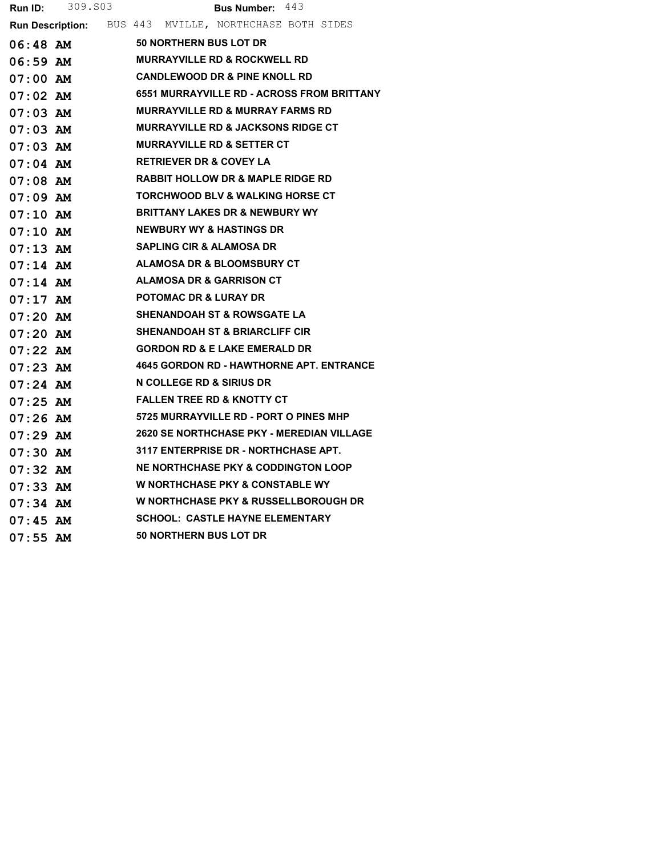|            | <b>Run ID:</b> 309.803 | <b>Bus Number:</b> $443$                               |
|------------|------------------------|--------------------------------------------------------|
|            |                        | Run Description: BUS 443 MVILLE, NORTHCHASE BOTH SIDES |
|            | 06:48 AM               | 50 NORTHERN BUS LOT DR                                 |
|            |                        | 06:59 AM MURRAYVILLE RD & ROCKWELL RD                  |
| 07:00 AM   |                        | <b>CANDLEWOOD DR &amp; PINE KNOLL RD</b>               |
|            | 07:02 AM               | <b>6551 MURRAYVILLE RD - ACROSS FROM BRITTANY</b>      |
|            | $07:03$ AM             | <b>MURRAYVILLE RD &amp; MURRAY FARMS RD</b>            |
| $07:03$ AM |                        | MURRAYVILLE RD & JACKSONS RIDGE CT                     |
|            | 07:03 AM               | <b>MURRAYVILLE RD &amp; SETTER CT</b>                  |
|            | $07:04$ $AM$           | <b>RETRIEVER DR &amp; COVEY LA</b>                     |
| 07:08 AM   |                        | <b>RABBIT HOLLOW DR &amp; MAPLE RIDGE RD</b>           |
|            | 07:09 AM               | <b>TORCHWOOD BLV &amp; WALKING HORSE CT</b>            |
|            | $07:10$ AM             | <b>BRITTANY LAKES DR &amp; NEWBURY WY</b>              |
| 07:10 AM   |                        | <b>NEWBURY WY &amp; HASTINGS DR</b>                    |
|            | $07:13$ AM             | <b>SAPLING CIR &amp; ALAMOSA DR</b>                    |
|            | $07:14$ AM             | ALAMOSA DR & BLOOMSBURY CT                             |
| $07:14$ AM |                        | ALAMOSA DR & GARRISON CT                               |
|            |                        | <b>POTOMAC DR &amp; LURAY DR</b>                       |
|            | 07:20 AM               | <b>SHENANDOAH ST &amp; ROWSGATE LA</b>                 |
| 07:20 AM   |                        | <b>SHENANDOAH ST &amp; BRIARCLIFF CIR</b>              |
|            | 07:22 AM               | <b>GORDON RD &amp; E LAKE EMERALD DR</b>               |
| 07:23 AM   |                        | <b>4645 GORDON RD - HAWTHORNE APT. ENTRANCE</b>        |
| 07:24 AM   |                        | N COLLEGE RD & SIRIUS DR                               |
|            | 07:25 AM               | <b>FALLEN TREE RD &amp; KNOTTY CT</b>                  |
|            | 07:26 AM               | <b>5725 MURRAYVILLE RD - PORT O PINES MHP</b>          |
| $07:29$ AM |                        | 2620 SE NORTHCHASE PKY - MEREDIAN VILLAGE              |
|            | 07:30 AM               | 3117 ENTERPRISE DR - NORTHCHASE APT.                   |
|            | 07:32 AM               | <b>NE NORTHCHASE PKY &amp; CODDINGTON LOOP</b>         |
| $07:33$ AM |                        | <b>W NORTHCHASE PKY &amp; CONSTABLE WY</b>             |
| $07:34$ AM |                        | W NORTHCHASE PKY & RUSSELLBOROUGH DR                   |
| 07:45 AM   |                        | <b>SCHOOL: CASTLE HAYNE ELEMENTARY</b>                 |
| $07:55$ AM |                        | 50 NORTHERN BUS LOT DR                                 |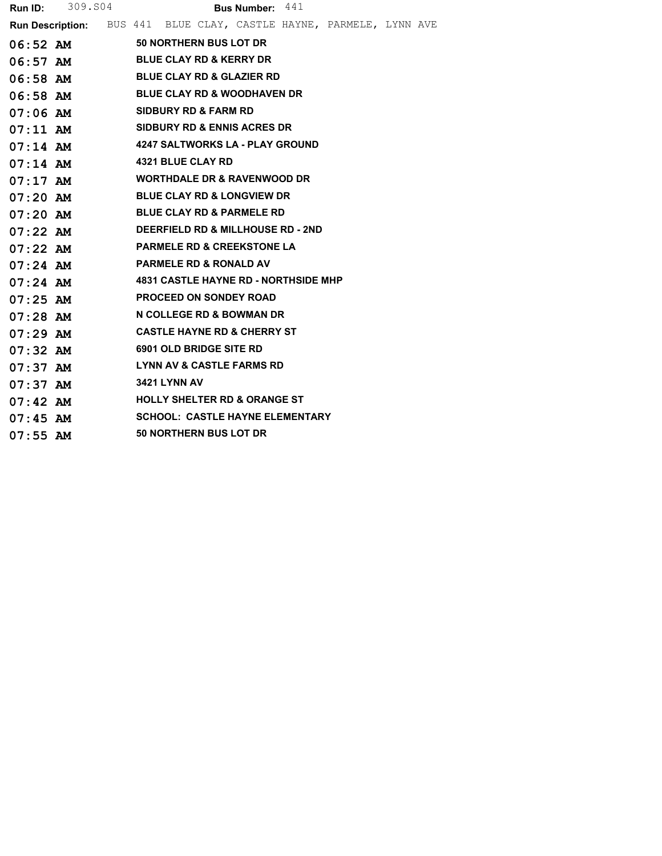|            | <b>Run ID:</b> 309.804 | <b>Bus Number:</b> $441$                                                   |  |  |  |  |  |  |  |
|------------|------------------------|----------------------------------------------------------------------------|--|--|--|--|--|--|--|
|            |                        | <b>Run Description:</b> BUS 441 BLUE CLAY, CASTLE HAYNE, PARMELE, LYNN AVE |  |  |  |  |  |  |  |
|            | $06:52$ AM             | <b>50 NORTHERN BUS LOT DR</b>                                              |  |  |  |  |  |  |  |
| $06:57$ AM |                        | <b>BLUE CLAY RD &amp; KERRY DR</b>                                         |  |  |  |  |  |  |  |
| 06:58 AM   |                        | <b>BLUE CLAY RD &amp; GLAZIER RD</b>                                       |  |  |  |  |  |  |  |
| 06:58 AM   |                        | <b>BLUE CLAY RD &amp; WOODHAVEN DR</b>                                     |  |  |  |  |  |  |  |
| 07:06 AM   |                        | <b>SIDBURY RD &amp; FARM RD</b>                                            |  |  |  |  |  |  |  |
| $07:11$ AM |                        | <b>SIDBURY RD &amp; ENNIS ACRES DR</b>                                     |  |  |  |  |  |  |  |
| $07:14$ AM |                        | 4247 SALTWORKS LA - PLAY GROUND                                            |  |  |  |  |  |  |  |
| $07:14$ AM |                        | <b>4321 BLUE CLAY RD</b>                                                   |  |  |  |  |  |  |  |
| $07:17$ AM |                        | <b>WORTHDALE DR &amp; RAVENWOOD DR</b>                                     |  |  |  |  |  |  |  |
| $07:20$ AM |                        | <b>BLUE CLAY RD &amp; LONGVIEW DR</b>                                      |  |  |  |  |  |  |  |
| $07:20$ AM |                        | <b>BLUE CLAY RD &amp; PARMELE RD</b>                                       |  |  |  |  |  |  |  |
| $07:22$ AM |                        | DEERFIELD RD & MILLHOUSE RD - 2ND                                          |  |  |  |  |  |  |  |
| $07:22$ AM |                        | <b>PARMELE RD &amp; CREEKSTONE LA</b>                                      |  |  |  |  |  |  |  |
| $07:24$ AM |                        | <b>PARMELE RD &amp; RONALD AV</b>                                          |  |  |  |  |  |  |  |
| $07:24$ AM |                        | <b>4831 CASTLE HAYNE RD - NORTHSIDE MHP</b>                                |  |  |  |  |  |  |  |
| $07:25$ AM |                        | <b>PROCEED ON SONDEY ROAD</b>                                              |  |  |  |  |  |  |  |
| $07:28$ AM |                        | N COLLEGE RD & BOWMAN DR                                                   |  |  |  |  |  |  |  |
| $07:29$ AM |                        | <b>CASTLE HAYNE RD &amp; CHERRY ST</b>                                     |  |  |  |  |  |  |  |
| $07:32$ AM |                        | 6901 OLD BRIDGE SITE RD                                                    |  |  |  |  |  |  |  |
| $07:37$ AM |                        | LYNN AV & CASTLE FARMS RD                                                  |  |  |  |  |  |  |  |
| $07:37$ AM |                        | <b>3421 LYNN AV</b>                                                        |  |  |  |  |  |  |  |
| $07:42$ AM |                        | <b>HOLLY SHELTER RD &amp; ORANGE ST</b>                                    |  |  |  |  |  |  |  |
| $07:45$ AM |                        | <b>SCHOOL: CASTLE HAYNE ELEMENTARY</b>                                     |  |  |  |  |  |  |  |
| $07:55$ AM |                        | 50 NORTHERN BUS LOT DR                                                     |  |  |  |  |  |  |  |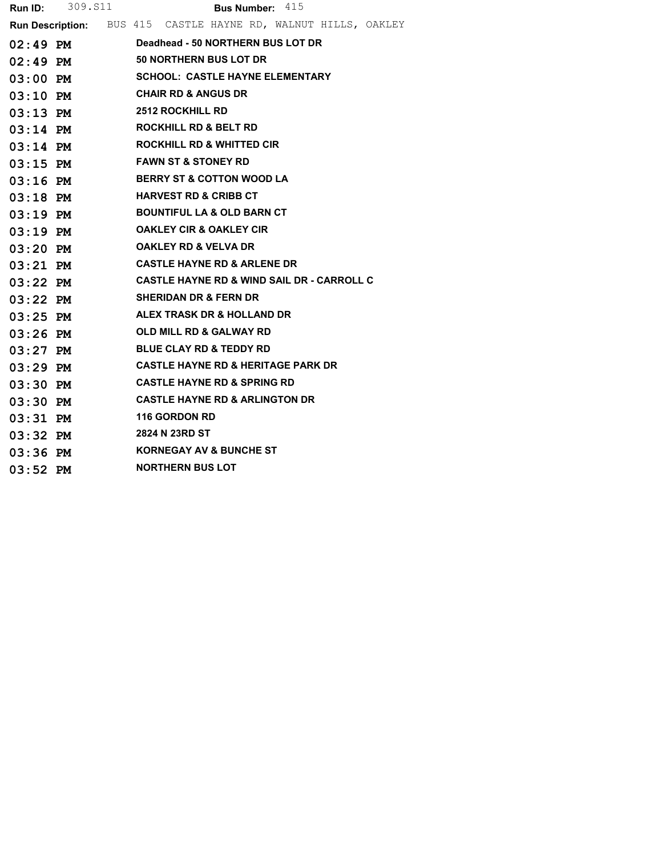|            | <b>Run ID:</b> 309. S11        | <b>Bus Number:</b> $415$                                       |  |  |  |  |  |  |  |
|------------|--------------------------------|----------------------------------------------------------------|--|--|--|--|--|--|--|
|            |                                | Run Description: BUS 415 CASTLE HAYNE RD, WALNUT HILLS, OAKLEY |  |  |  |  |  |  |  |
| 02:49 PM   |                                | Deadhead - 50 NORTHERN BUS LOT DR                              |  |  |  |  |  |  |  |
| $02:49$ PM |                                | <b>50 NORTHERN BUS LOT DR</b>                                  |  |  |  |  |  |  |  |
| $03:00$ PM |                                | <b>SCHOOL: CASTLE HAYNE ELEMENTARY</b>                         |  |  |  |  |  |  |  |
| $03:10$ PM | <b>CHAIR RD &amp; ANGUS DR</b> |                                                                |  |  |  |  |  |  |  |
| $03:13$ PM |                                | <b>2512 ROCKHILL RD</b>                                        |  |  |  |  |  |  |  |
| $03:14$ PM |                                | <b>ROCKHILL RD &amp; BELT RD</b>                               |  |  |  |  |  |  |  |
| $03:14$ PM |                                | <b>ROCKHILL RD &amp; WHITTED CIR</b>                           |  |  |  |  |  |  |  |
| $03:15$ PM |                                | <b>FAWN ST &amp; STONEY RD</b>                                 |  |  |  |  |  |  |  |
| $03:16$ PM |                                | <b>BERRY ST &amp; COTTON WOOD LA</b>                           |  |  |  |  |  |  |  |
| 03:18 PM   |                                | <b>HARVEST RD &amp; CRIBB CT</b>                               |  |  |  |  |  |  |  |
| $03:19$ PM |                                | <b>BOUNTIFUL LA &amp; OLD BARN CT</b>                          |  |  |  |  |  |  |  |
| $03:19$ PM |                                | <b>OAKLEY CIR &amp; OAKLEY CIR</b>                             |  |  |  |  |  |  |  |
| $03:20$ PM |                                | <b>OAKLEY RD &amp; VELVA DR</b>                                |  |  |  |  |  |  |  |
| $03:21$ PM |                                | <b>CASTLE HAYNE RD &amp; ARLENE DR</b>                         |  |  |  |  |  |  |  |
| $03:22$ PM |                                | <b>CASTLE HAYNE RD &amp; WIND SAIL DR - CARROLL C</b>          |  |  |  |  |  |  |  |
| $03:22$ PM |                                | <b>SHERIDAN DR &amp; FERN DR</b>                               |  |  |  |  |  |  |  |
| $03:25$ PM |                                | ALEX TRASK DR & HOLLAND DR                                     |  |  |  |  |  |  |  |
| $03:26$ PM |                                | <b>OLD MILL RD &amp; GALWAY RD</b>                             |  |  |  |  |  |  |  |
| $03:27$ PM |                                | <b>BLUE CLAY RD &amp; TEDDY RD</b>                             |  |  |  |  |  |  |  |
| $03:29$ PM |                                | <b>CASTLE HAYNE RD &amp; HERITAGE PARK DR</b>                  |  |  |  |  |  |  |  |
| $03:30$ PM |                                | <b>CASTLE HAYNE RD &amp; SPRING RD</b>                         |  |  |  |  |  |  |  |
| $03:30$ PM |                                | <b>CASTLE HAYNE RD &amp; ARLINGTON DR</b>                      |  |  |  |  |  |  |  |
| $03:31$ PM |                                | 116 GORDON RD                                                  |  |  |  |  |  |  |  |
| $03:32$ PM |                                | 2824 N 23RD ST                                                 |  |  |  |  |  |  |  |
| $03:36$ PM |                                | <b>KORNEGAY AV &amp; BUNCHE ST</b>                             |  |  |  |  |  |  |  |
| $03:52$ PM |                                | <b>NORTHERN BUS LOT</b>                                        |  |  |  |  |  |  |  |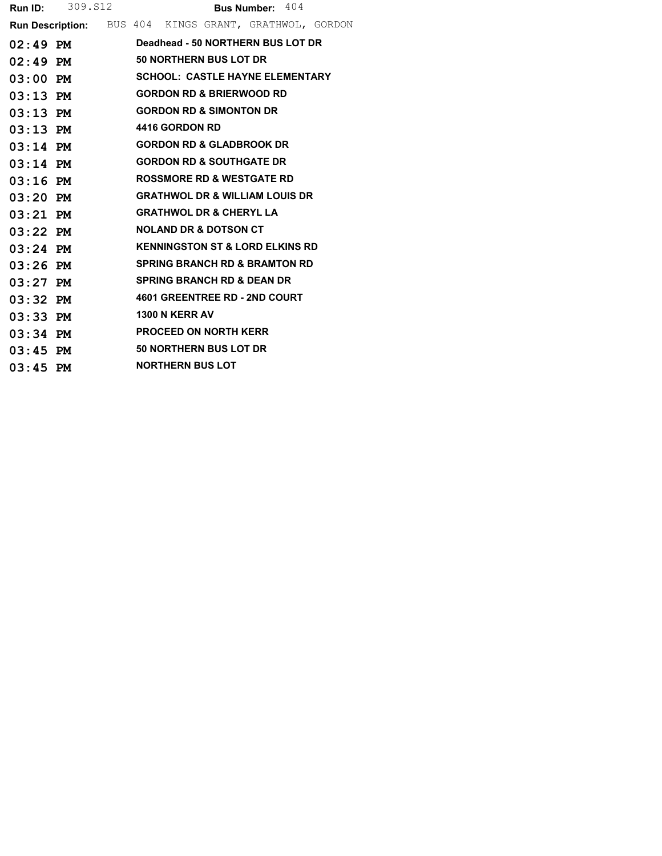|            | <b>Run ID:</b> 309. S12                                |  |                                            | <b>Bus Number:</b> $404$ |  |
|------------|--------------------------------------------------------|--|--------------------------------------------|--------------------------|--|
|            | Run Description: BUS 404 KINGS GRANT, GRATHWOL, GORDON |  |                                            |                          |  |
|            | $02:49$ PM                                             |  | Deadhead - 50 NORTHERN BUS LOT DR          |                          |  |
| $02:49$ PM |                                                        |  | 50 NORTHERN BUS LOT DR                     |                          |  |
| $03:00$ PM |                                                        |  | <b>SCHOOL: CASTLE HAYNE ELEMENTARY</b>     |                          |  |
| $03:13$ PM |                                                        |  | <b>GORDON RD &amp; BRIERWOOD RD</b>        |                          |  |
| $03:13$ PM |                                                        |  | <b>GORDON RD &amp; SIMONTON DR</b>         |                          |  |
| $03:13$ PM |                                                        |  | 4416 GORDON RD                             |                          |  |
| $03:14$ PM |                                                        |  | <b>GORDON RD &amp; GLADBROOK DR</b>        |                          |  |
| $03:14$ PM |                                                        |  | <b>GORDON RD &amp; SOUTHGATE DR</b>        |                          |  |
| $03:16$ PM |                                                        |  | <b>ROSSMORE RD &amp; WESTGATE RD</b>       |                          |  |
| $03:20$ PM |                                                        |  | <b>GRATHWOL DR &amp; WILLIAM LOUIS DR</b>  |                          |  |
| $03:21$ PM |                                                        |  | <b>GRATHWOL DR &amp; CHERYL LA</b>         |                          |  |
| $03:22$ PM |                                                        |  | <b>NOLAND DR &amp; DOTSON CT</b>           |                          |  |
| $03:24$ PM |                                                        |  | <b>KENNINGSTON ST &amp; LORD ELKINS RD</b> |                          |  |
| $03:26$ PM |                                                        |  | <b>SPRING BRANCH RD &amp; BRAMTON RD</b>   |                          |  |
| $03:27$ PM |                                                        |  | <b>SPRING BRANCH RD &amp; DEAN DR</b>      |                          |  |
| $03:32$ PM |                                                        |  | 4601 GREENTREE RD - 2ND COURT              |                          |  |
| $03:33$ PM |                                                        |  | <b>1300 N KERR AV</b>                      |                          |  |
| $03:34$ PM |                                                        |  | <b>PROCEED ON NORTH KERR</b>               |                          |  |
| $03:45$ PM |                                                        |  | 50 NORTHERN BUS LOT DR                     |                          |  |
| $03:45$ PM |                                                        |  | <b>NORTHERN BUS LOT</b>                    |                          |  |
|            |                                                        |  |                                            |                          |  |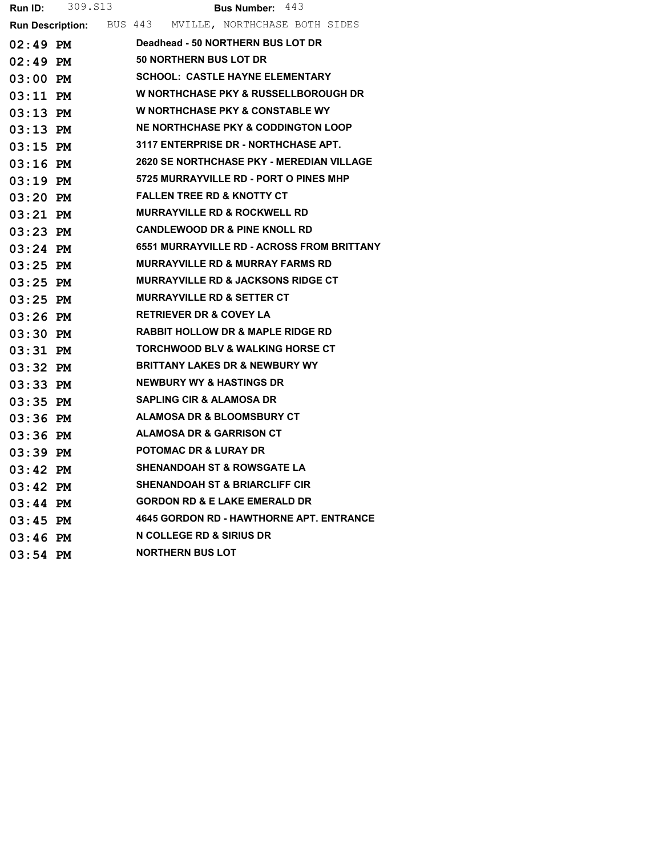|            | <b>Run ID:</b> 309. S13 | <b>Bus Number:</b> $443$                               |
|------------|-------------------------|--------------------------------------------------------|
|            |                         | Run Description: BUS 443 MVILLE, NORTHCHASE BOTH SIDES |
| $02:49$ PM |                         | Deadhead - 50 NORTHERN BUS LOT DR                      |
| 02:49 PM   |                         | <b>50 NORTHERN BUS LOT DR</b>                          |
| 03:00 PM   |                         | <b>SCHOOL: CASTLE HAYNE ELEMENTARY</b>                 |
| 03:11 PM   |                         | <b>W NORTHCHASE PKY &amp; RUSSELLBOROUGH DR</b>        |
| $03:13$ PM |                         | <b>W NORTHCHASE PKY &amp; CONSTABLE WY</b>             |
| $03:13$ PM |                         | NE NORTHCHASE PKY & CODDINGTON LOOP                    |
| $03:15$ PM |                         | 3117 ENTERPRISE DR - NORTHCHASE APT.                   |
| $03:16$ PM |                         | 2620 SE NORTHCHASE PKY - MEREDIAN VILLAGE              |
| 03:19 PM   |                         | 5725 MURRAYVILLE RD - PORT O PINES MHP                 |
|            | 03:20 PM                | <b>FALLEN TREE RD &amp; KNOTTY CT</b>                  |
| 03:21 PM   |                         | <b>MURRAYVILLE RD &amp; ROCKWELL RD</b>                |
| 03:23 PM   |                         | <b>CANDLEWOOD DR &amp; PINE KNOLL RD</b>               |
| 03:24 PM   |                         | <b>6551 MURRAYVILLE RD - ACROSS FROM BRITTANY</b>      |
| $03:25$ PM |                         | <b>MURRAYVILLE RD &amp; MURRAY FARMS RD</b>            |
| 03:25 PM   |                         | <b>MURRAYVILLE RD &amp; JACKSONS RIDGE CT</b>          |
| $03:25$ PM |                         | <b>MURRAYVILLE RD &amp; SETTER CT</b>                  |
| 03:26 PM   |                         | <b>RETRIEVER DR &amp; COVEY LA</b>                     |
| 03:30 PM   |                         | <b>RABBIT HOLLOW DR &amp; MAPLE RIDGE RD</b>           |
| $03:31$ PM |                         | <b>TORCHWOOD BLV &amp; WALKING HORSE CT</b>            |
| $03:32$ PM |                         | <b>BRITTANY LAKES DR &amp; NEWBURY WY</b>              |
| $03:33$ PM |                         | <b>NEWBURY WY &amp; HASTINGS DR</b>                    |
| $03:35$ PM |                         | <b>SAPLING CIR &amp; ALAMOSA DR</b>                    |
| 03:36 PM   |                         | ALAMOSA DR & BLOOMSBURY CT                             |
| 03:36 PM   |                         | <b>ALAMOSA DR &amp; GARRISON CT</b>                    |
| 03:39 PM   |                         | <b>POTOMAC DR &amp; LURAY DR</b>                       |
| 03:42 PM   |                         | <b>SHENANDOAH ST &amp; ROWSGATE LA</b>                 |
| 03:42 PM   |                         | <b>SHENANDOAH ST &amp; BRIARCLIFF CIR</b>              |
| 03:44 PM   |                         | <b>GORDON RD &amp; E LAKE EMERALD DR</b>               |
| $03:45$ PM |                         | <b>4645 GORDON RD - HAWTHORNE APT. ENTRANCE</b>        |
| $03:46$ PM |                         | N COLLEGE RD & SIRIUS DR                               |
| $03:54$ PM |                         | <b>NORTHERN BUS LOT</b>                                |